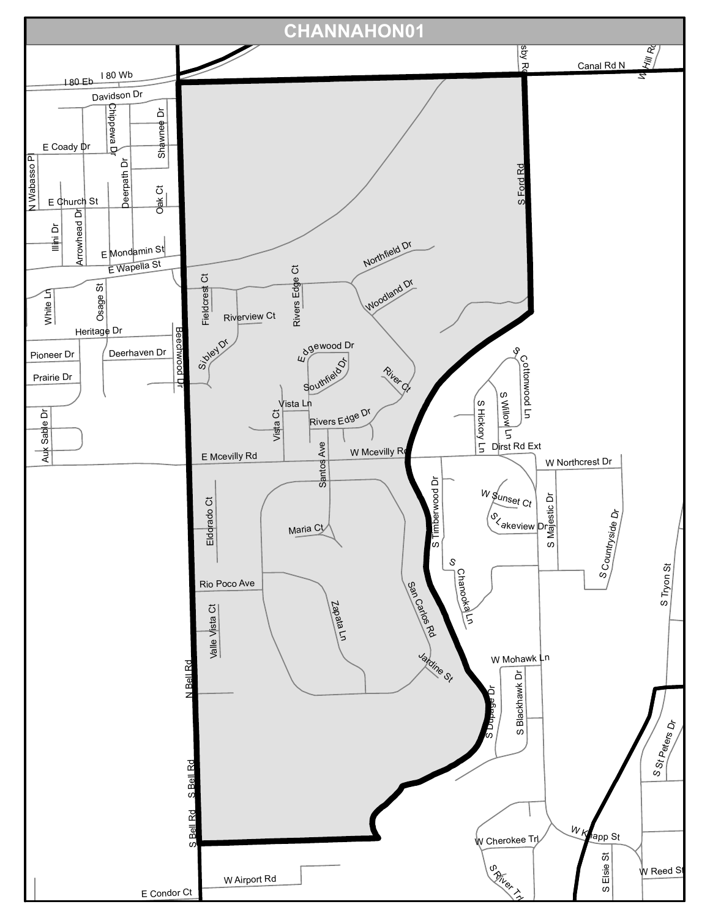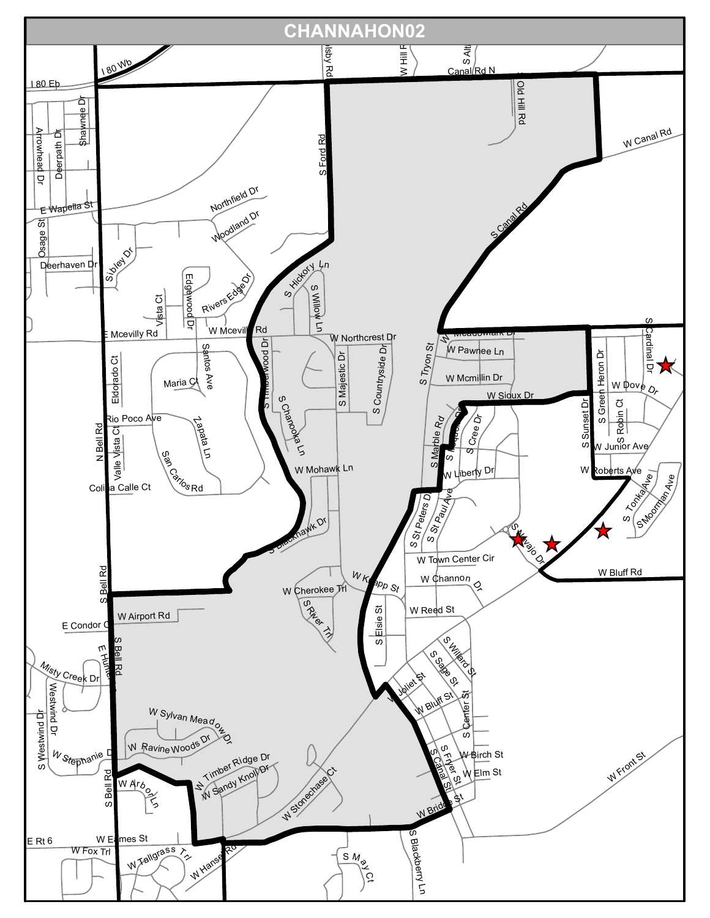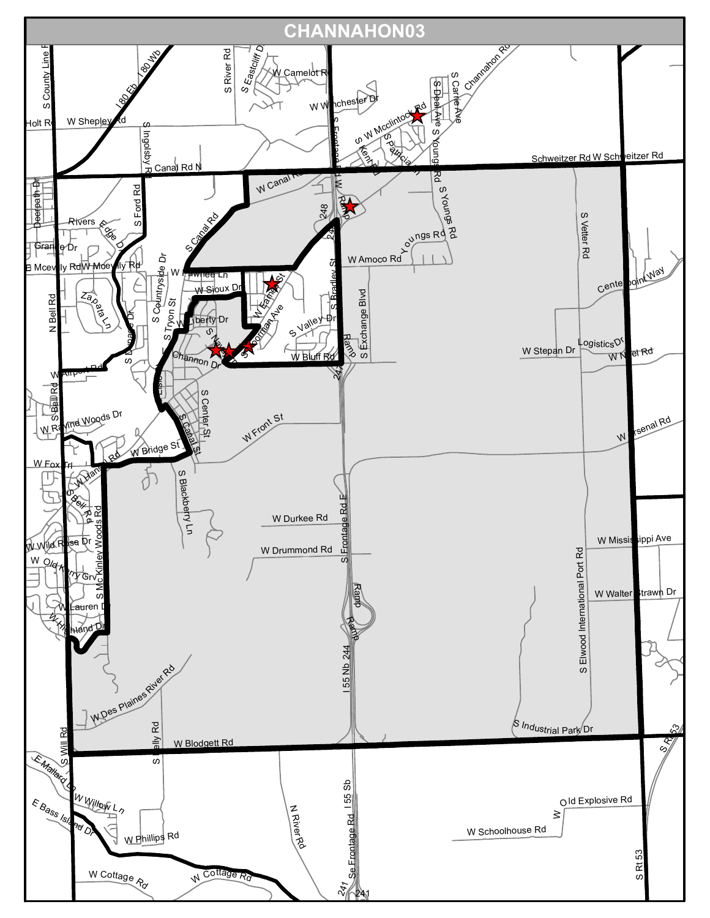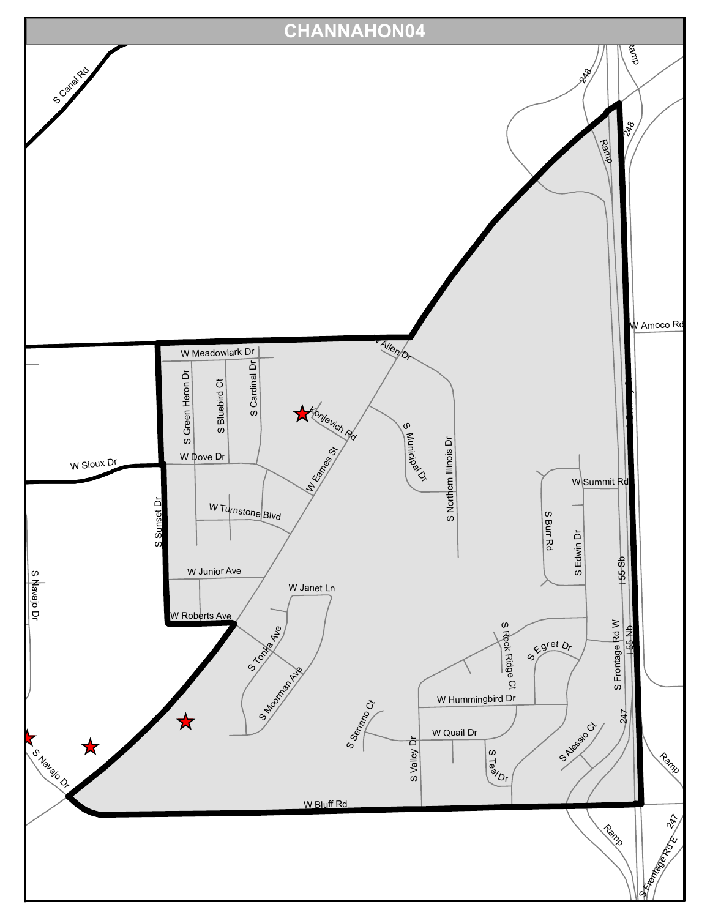